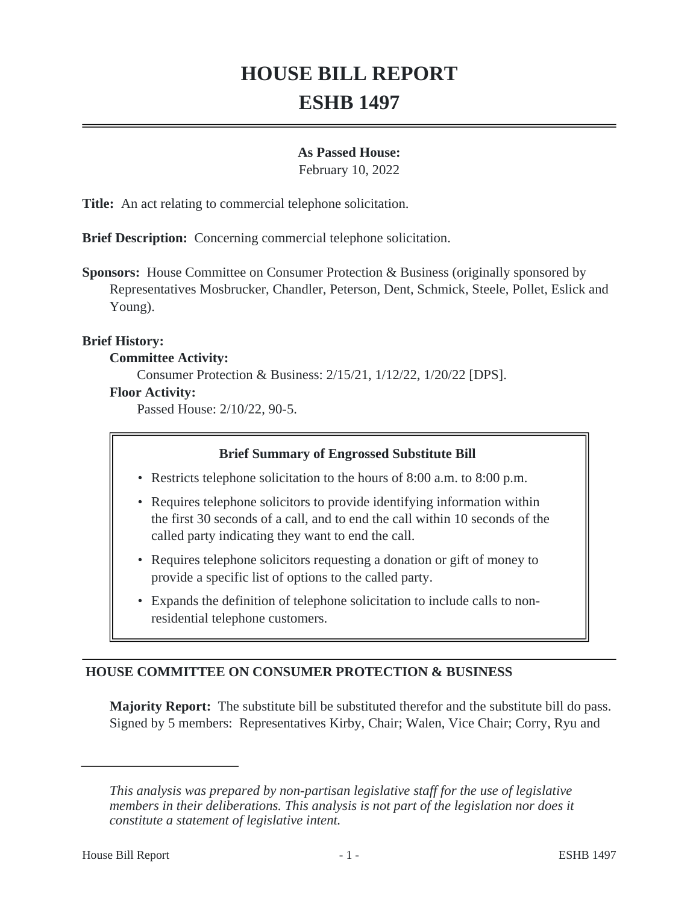# **HOUSE BILL REPORT ESHB 1497**

## **As Passed House:**

February 10, 2022

**Title:** An act relating to commercial telephone solicitation.

**Brief Description:** Concerning commercial telephone solicitation.

**Sponsors:** House Committee on Consumer Protection & Business (originally sponsored by Representatives Mosbrucker, Chandler, Peterson, Dent, Schmick, Steele, Pollet, Eslick and Young).

### **Brief History:**

#### **Committee Activity:**

Consumer Protection & Business: 2/15/21, 1/12/22, 1/20/22 [DPS].

#### **Floor Activity:**

Passed House: 2/10/22, 90-5.

### **Brief Summary of Engrossed Substitute Bill**

• Restricts telephone solicitation to the hours of 8:00 a.m. to 8:00 p.m.

- Requires telephone solicitors to provide identifying information within the first 30 seconds of a call, and to end the call within 10 seconds of the called party indicating they want to end the call.
- Requires telephone solicitors requesting a donation or gift of money to provide a specific list of options to the called party.
- Expands the definition of telephone solicitation to include calls to non-• residential telephone customers.

# **HOUSE COMMITTEE ON CONSUMER PROTECTION & BUSINESS**

**Majority Report:** The substitute bill be substituted therefor and the substitute bill do pass. Signed by 5 members: Representatives Kirby, Chair; Walen, Vice Chair; Corry, Ryu and

*This analysis was prepared by non-partisan legislative staff for the use of legislative members in their deliberations. This analysis is not part of the legislation nor does it constitute a statement of legislative intent.*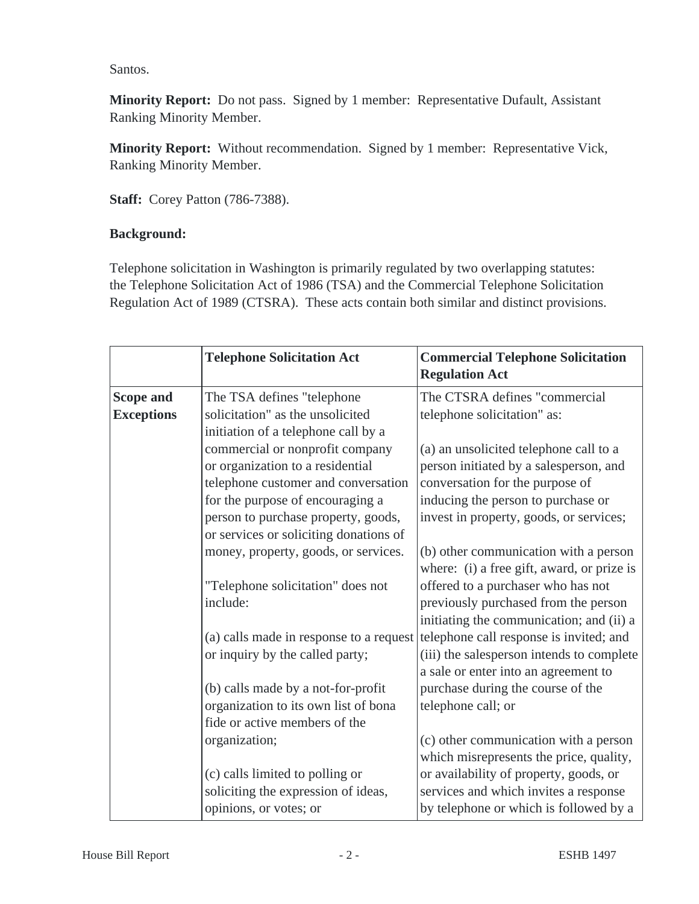Santos.

**Minority Report:** Do not pass. Signed by 1 member: Representative Dufault, Assistant Ranking Minority Member.

**Minority Report:** Without recommendation. Signed by 1 member: Representative Vick, Ranking Minority Member.

**Staff:** Corey Patton (786-7388).

# **Background:**

Telephone solicitation in Washington is primarily regulated by two overlapping statutes: the Telephone Solicitation Act of 1986 (TSA) and the Commercial Telephone Solicitation Regulation Act of 1989 (CTSRA). These acts contain both similar and distinct provisions.

|                                       | <b>Telephone Solicitation Act</b>                                   | <b>Commercial Telephone Solicitation</b><br><b>Regulation Act</b>                   |
|---------------------------------------|---------------------------------------------------------------------|-------------------------------------------------------------------------------------|
| <b>Scope and</b><br><b>Exceptions</b> | The TSA defines "telephone<br>solicitation" as the unsolicited      | The CTSRA defines "commercial<br>telephone solicitation" as:                        |
|                                       | initiation of a telephone call by a                                 |                                                                                     |
|                                       | commercial or nonprofit company<br>or organization to a residential | (a) an unsolicited telephone call to a<br>person initiated by a salesperson, and    |
|                                       | telephone customer and conversation                                 | conversation for the purpose of                                                     |
|                                       | for the purpose of encouraging a                                    | inducing the person to purchase or                                                  |
|                                       | person to purchase property, goods,                                 | invest in property, goods, or services;                                             |
|                                       | or services or soliciting donations of                              |                                                                                     |
|                                       | money, property, goods, or services.                                | (b) other communication with a person<br>where: (i) a free gift, award, or prize is |
|                                       | "Telephone solicitation" does not                                   | offered to a purchaser who has not                                                  |
|                                       | include:                                                            | previously purchased from the person<br>initiating the communication; and (ii) a    |
|                                       | (a) calls made in response to a request                             | telephone call response is invited; and                                             |
|                                       | or inquiry by the called party;                                     | (iii) the salesperson intends to complete                                           |
|                                       |                                                                     | a sale or enter into an agreement to                                                |
|                                       | (b) calls made by a not-for-profit                                  | purchase during the course of the                                                   |
|                                       | organization to its own list of bona                                | telephone call; or                                                                  |
|                                       | fide or active members of the                                       |                                                                                     |
|                                       | organization;                                                       | (c) other communication with a person                                               |
|                                       |                                                                     | which misrepresents the price, quality,                                             |
|                                       | (c) calls limited to polling or                                     | or availability of property, goods, or                                              |
|                                       | soliciting the expression of ideas,                                 | services and which invites a response                                               |
|                                       | opinions, or votes; or                                              | by telephone or which is followed by a                                              |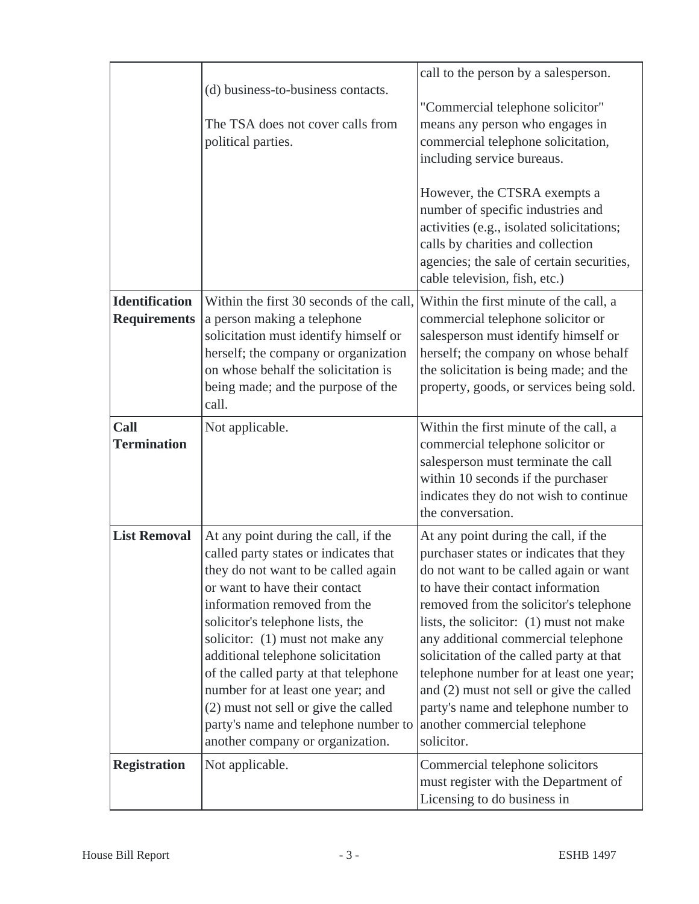|                                              | (d) business-to-business contacts.                                                                                                                                                                                                                                                                                                                                                                                                                                                                   | call to the person by a salesperson.                                                                                                                                                                                                                                                                                                                                                                                                                                                                                |
|----------------------------------------------|------------------------------------------------------------------------------------------------------------------------------------------------------------------------------------------------------------------------------------------------------------------------------------------------------------------------------------------------------------------------------------------------------------------------------------------------------------------------------------------------------|---------------------------------------------------------------------------------------------------------------------------------------------------------------------------------------------------------------------------------------------------------------------------------------------------------------------------------------------------------------------------------------------------------------------------------------------------------------------------------------------------------------------|
|                                              | The TSA does not cover calls from<br>political parties.                                                                                                                                                                                                                                                                                                                                                                                                                                              | "Commercial telephone solicitor"<br>means any person who engages in<br>commercial telephone solicitation,<br>including service bureaus.                                                                                                                                                                                                                                                                                                                                                                             |
|                                              |                                                                                                                                                                                                                                                                                                                                                                                                                                                                                                      | However, the CTSRA exempts a<br>number of specific industries and<br>activities (e.g., isolated solicitations;<br>calls by charities and collection<br>agencies; the sale of certain securities,<br>cable television, fish, etc.)                                                                                                                                                                                                                                                                                   |
| <b>Identification</b><br><b>Requirements</b> | Within the first 30 seconds of the call,<br>a person making a telephone<br>solicitation must identify himself or<br>herself; the company or organization<br>on whose behalf the solicitation is<br>being made; and the purpose of the<br>call.                                                                                                                                                                                                                                                       | Within the first minute of the call, a<br>commercial telephone solicitor or<br>salesperson must identify himself or<br>herself; the company on whose behalf<br>the solicitation is being made; and the<br>property, goods, or services being sold.                                                                                                                                                                                                                                                                  |
| <b>Call</b><br><b>Termination</b>            | Not applicable.                                                                                                                                                                                                                                                                                                                                                                                                                                                                                      | Within the first minute of the call, a<br>commercial telephone solicitor or<br>salesperson must terminate the call<br>within 10 seconds if the purchaser<br>indicates they do not wish to continue<br>the conversation.                                                                                                                                                                                                                                                                                             |
| <b>List Removal</b>                          | At any point during the call, if the<br>called party states or indicates that<br>they do not want to be called again<br>or want to have their contact<br>information removed from the<br>solicitor's telephone lists, the<br>solicitor: (1) must not make any<br>additional telephone solicitation<br>of the called party at that telephone<br>number for at least one year; and<br>(2) must not sell or give the called<br>party's name and telephone number to<br>another company or organization. | At any point during the call, if the<br>purchaser states or indicates that they<br>do not want to be called again or want<br>to have their contact information<br>removed from the solicitor's telephone<br>lists, the solicitor: (1) must not make<br>any additional commercial telephone<br>solicitation of the called party at that<br>telephone number for at least one year;<br>and (2) must not sell or give the called<br>party's name and telephone number to<br>another commercial telephone<br>solicitor. |
| <b>Registration</b>                          | Not applicable.                                                                                                                                                                                                                                                                                                                                                                                                                                                                                      | Commercial telephone solicitors<br>must register with the Department of<br>Licensing to do business in                                                                                                                                                                                                                                                                                                                                                                                                              |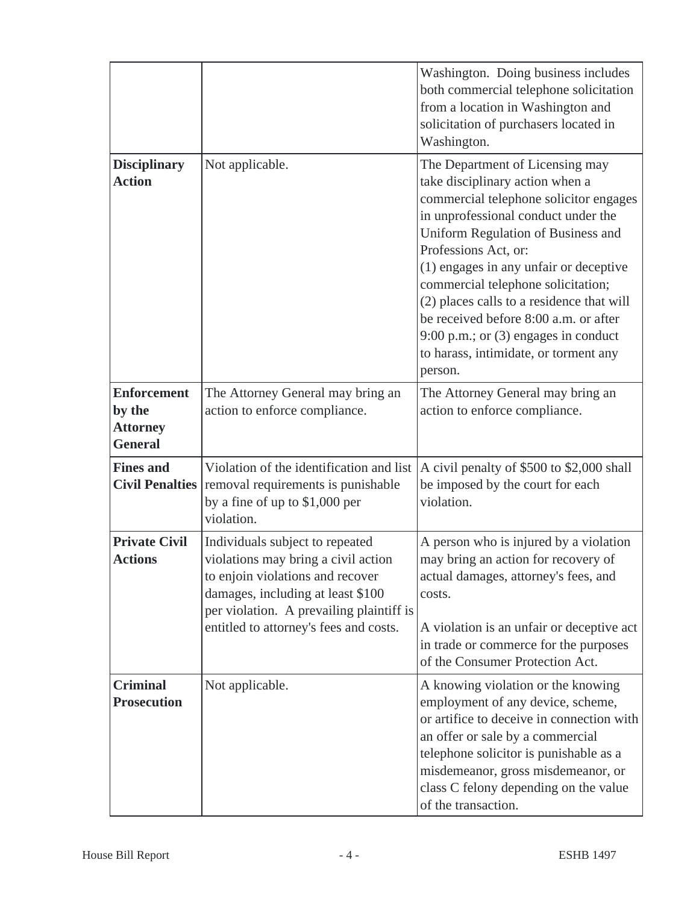|                                                                   |                                                                                                                                                                                                                                       | Washington. Doing business includes<br>both commercial telephone solicitation<br>from a location in Washington and<br>solicitation of purchasers located in<br>Washington.                                                                                                                                                                                                                                                                                                            |
|-------------------------------------------------------------------|---------------------------------------------------------------------------------------------------------------------------------------------------------------------------------------------------------------------------------------|---------------------------------------------------------------------------------------------------------------------------------------------------------------------------------------------------------------------------------------------------------------------------------------------------------------------------------------------------------------------------------------------------------------------------------------------------------------------------------------|
| <b>Disciplinary</b><br><b>Action</b>                              | Not applicable.                                                                                                                                                                                                                       | The Department of Licensing may<br>take disciplinary action when a<br>commercial telephone solicitor engages<br>in unprofessional conduct under the<br>Uniform Regulation of Business and<br>Professions Act, or:<br>(1) engages in any unfair or deceptive<br>commercial telephone solicitation;<br>(2) places calls to a residence that will<br>be received before 8:00 a.m. or after<br>9:00 p.m.; or $(3)$ engages in conduct<br>to harass, intimidate, or torment any<br>person. |
| <b>Enforcement</b><br>by the<br><b>Attorney</b><br><b>General</b> | The Attorney General may bring an<br>action to enforce compliance.                                                                                                                                                                    | The Attorney General may bring an<br>action to enforce compliance.                                                                                                                                                                                                                                                                                                                                                                                                                    |
| <b>Fines and</b>                                                  | Violation of the identification and list<br>Civil Penalties   removal requirements is punishable<br>by a fine of up to $$1,000$ per<br>violation.                                                                                     | A civil penalty of \$500 to \$2,000 shall<br>be imposed by the court for each<br>violation.                                                                                                                                                                                                                                                                                                                                                                                           |
| <b>Private Civil</b><br><b>Actions</b>                            | Individuals subject to repeated<br>violations may bring a civil action<br>to enjoin violations and recover<br>damages, including at least \$100<br>per violation. A prevailing plaintiff is<br>entitled to attorney's fees and costs. | A person who is injured by a violation<br>may bring an action for recovery of<br>actual damages, attorney's fees, and<br>costs.<br>A violation is an unfair or deceptive act<br>in trade or commerce for the purposes<br>of the Consumer Protection Act.                                                                                                                                                                                                                              |
| <b>Criminal</b><br><b>Prosecution</b>                             | Not applicable.                                                                                                                                                                                                                       | A knowing violation or the knowing<br>employment of any device, scheme,<br>or artifice to deceive in connection with<br>an offer or sale by a commercial<br>telephone solicitor is punishable as a<br>misdemeanor, gross misdemeanor, or<br>class C felony depending on the value<br>of the transaction.                                                                                                                                                                              |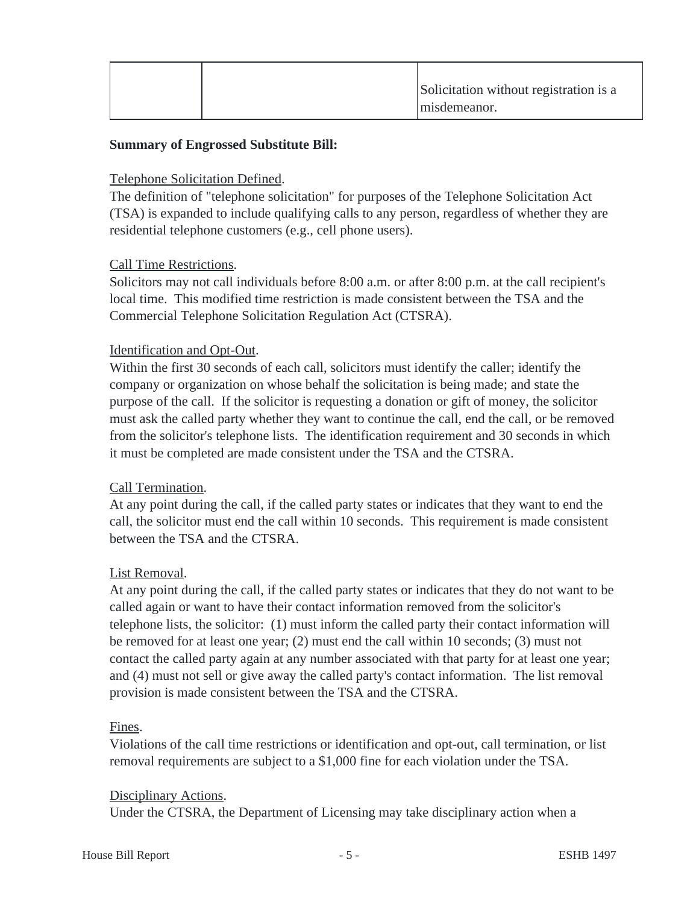|  | Solicitation without registration is a |
|--|----------------------------------------|
|  | misdemeanor.                           |

## **Summary of Engrossed Substitute Bill:**

#### Telephone Solicitation Defined.

The definition of "telephone solicitation" for purposes of the Telephone Solicitation Act (TSA) is expanded to include qualifying calls to any person, regardless of whether they are residential telephone customers (e.g., cell phone users).

### Call Time Restrictions.

Solicitors may not call individuals before 8:00 a.m. or after 8:00 p.m. at the call recipient's local time. This modified time restriction is made consistent between the TSA and the Commercial Telephone Solicitation Regulation Act (CTSRA).

### Identification and Opt-Out.

Within the first 30 seconds of each call, solicitors must identify the caller; identify the company or organization on whose behalf the solicitation is being made; and state the purpose of the call. If the solicitor is requesting a donation or gift of money, the solicitor must ask the called party whether they want to continue the call, end the call, or be removed from the solicitor's telephone lists. The identification requirement and 30 seconds in which it must be completed are made consistent under the TSA and the CTSRA.

### Call Termination.

At any point during the call, if the called party states or indicates that they want to end the call, the solicitor must end the call within 10 seconds. This requirement is made consistent between the TSA and the CTSRA.

### List Removal.

At any point during the call, if the called party states or indicates that they do not want to be called again or want to have their contact information removed from the solicitor's telephone lists, the solicitor: (1) must inform the called party their contact information will be removed for at least one year; (2) must end the call within 10 seconds; (3) must not contact the called party again at any number associated with that party for at least one year; and (4) must not sell or give away the called party's contact information. The list removal provision is made consistent between the TSA and the CTSRA.

#### Fines.

Violations of the call time restrictions or identification and opt-out, call termination, or list removal requirements are subject to a \$1,000 fine for each violation under the TSA.

#### Disciplinary Actions.

Under the CTSRA, the Department of Licensing may take disciplinary action when a